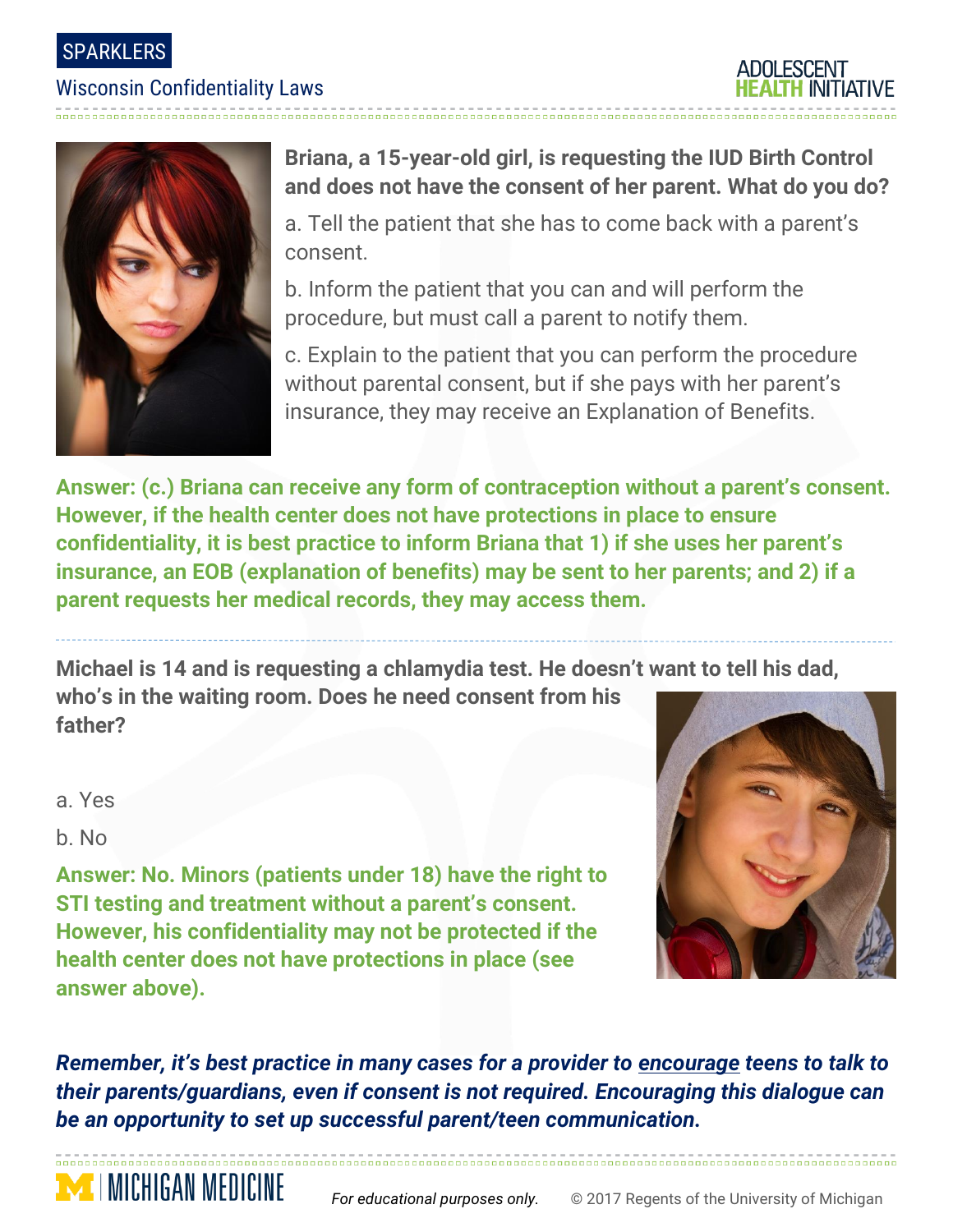SPARKLERS

### Wisconsin Confidentiality Laws





**Briana, a 15-year-old girl, is requesting the IUD Birth Control and does not have the consent of her parent. What do you do?**

a. Tell the patient that she has to come back with a parent's consent.

b. Inform the patient that you can and will perform the procedure, but must call a parent to notify them.

c. Explain to the patient that you can perform the procedure without parental consent, but if she pays with her parent's insurance, they may receive an Explanation of Benefits.

**Answer: (c.) Briana can receive any form of contraception without a parent's consent. However, if the health center does not have protections in place to ensure confidentiality, it is best practice to inform Briana that 1) if she uses her parent's insurance, an EOB (explanation of benefits) may be sent to her parents; and 2) if a parent requests her medical records, they may access them.**

**Michael is 14 and is requesting a chlamydia test. He doesn't want to tell his dad, who's in the waiting room. Does he need consent from his father?**

a. Yes

b. No

**MENICHIGAN MEDICINE** 

**Answer: No. Minors (patients under 18) have the right to STI testing and treatment without a parent's consent. However, his confidentiality may not be protected if the health center does not have protections in place (see answer above).**



*Remember, it's best practice in many cases for a provider to encourage teens to talk to their parents/guardians, even if consent is not required. Encouraging this dialogue can be an opportunity to set up successful parent/teen communication.*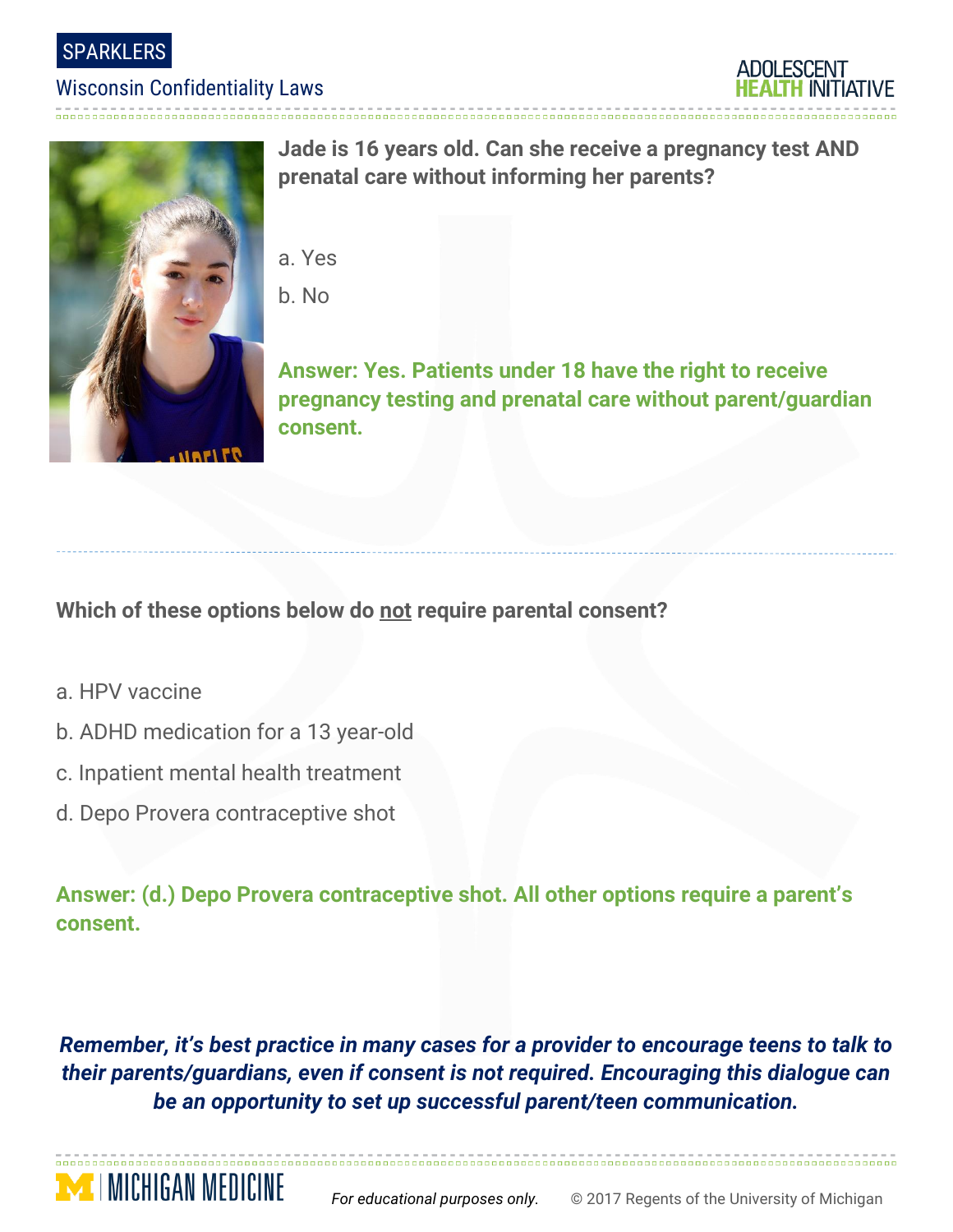**SPARKLERS** 

### Wisconsin Confidentiality Laws





**Jade is 16 years old. Can she receive a pregnancy test AND prenatal care without informing her parents?**

- a. Yes
- b. No

**Answer: Yes. Patients under 18 have the right to receive pregnancy testing and prenatal care without parent/guardian consent.**

## **Which of these options below do not require parental consent?**

- a. HPV vaccine
- b. ADHD medication for a 13 year-old
- c. Inpatient mental health treatment
- d. Depo Provera contraceptive shot

**MENGAN MEDICINE** 

**Answer: (d.) Depo Provera contraceptive shot. All other options require a parent's consent.**

*Remember, it's best practice in many cases for a provider to encourage teens to talk to their parents/guardians, even if consent is not required. Encouraging this dialogue can be an opportunity to set up successful parent/teen communication.*